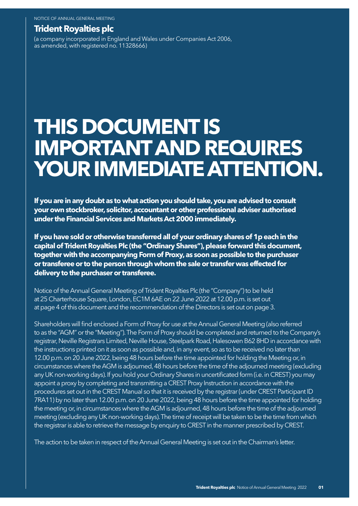## **Trident Royalties plc**

(a company incorporated in England and Wales under Companies Act 2006, as amended, with registered no. 11328666)

# **THIS DOCUMENT IS IMPORTANT AND REQUIRES YOUR IMMEDIATE ATTENTION.**

**If you are in any doubt as to what action you should take, you are advised to consult your own stockbroker, solicitor, accountant or other professional adviser authorised under the Financial Services and Markets Act 2000 immediately.**

**If you have sold or otherwise transferred all of your ordinary shares of 1p each in the capital of Trident Royalties Plc (the "Ordinary Shares"), please forward this document, together with the accompanying Form of Proxy, as soon as possible to the purchaser or transferee or to the person through whom the sale or transfer was effected for delivery to the purchaser or transferee.**

Notice of the Annual General Meeting of Trident Royalties Plc (the "Company") to be held at 25 Charterhouse Square, London, EC1M 6AE on 22 June 2022 at 12.00 p.m. is set out at page 4 of this document and the recommendation of the Directors is set out on page 3.

Shareholders will find enclosed a Form of Proxy for use at the Annual General Meeting (also referred to as the "AGM" or the "Meeting"). The Form of Proxy should be completed and returned to the Company's registrar, Neville Registrars Limited, Neville House, Steelpark Road, Halesowen B62 8HD in accordance with the instructions printed on it as soon as possible and, in any event, so as to be received no later than 12.00 p.m. on 20 June 2022, being 48 hours before the time appointed for holding the Meeting or, in circumstances where the AGM is adjourned, 48 hours before the time of the adjourned meeting (excluding any UK non-working days). If you hold your Ordinary Shares in uncertificated form (i.e. in CREST) you may appoint a proxy by completing and transmitting a CREST Proxy Instruction in accordance with the procedures set out in the CREST Manual so that it is received by the registrar (under CREST Participant ID 7RA11) by no later than 12.00 p.m. on 20 June 2022, being 48 hours before the time appointed for holding the meeting or, in circumstances where the AGM is adjourned, 48 hours before the time of the adjourned meeting (excluding any UK non-working days). The time of receipt will be taken to be the time from which the registrar is able to retrieve the message by enquiry to CREST in the manner prescribed by CREST.

The action to be taken in respect of the Annual General Meeting is set out in the Chairman's letter.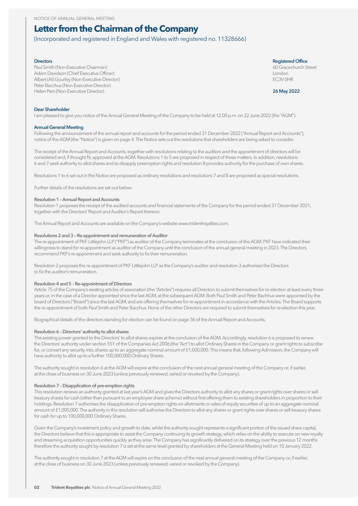## **Letter from the Chairman of the Company**

(Incorporated and registered in England and Wales with registered no. 11328666)

Paul Smith (Non-Executive Chairman)<br>Adam Davidson (Chief Executive Officer) 60 Gracechurch Street<br>Adam Davidson (Chief Executive Officer) Adam Davidson (Chief Executive Officer) London Albert (Al) Gourley (Non-Executive Director) Peter Bacchus (Non-Executive Director) Helen Pein (Non-Executive Director) **26 May 2022**

**Directors Registered Office** 

#### **Dear Shareholder**

I am pleased to give you notice of the Annual General Meeting of the Company to be held at 12.00 p.m. on 22 June 2022 (the "AGM").

#### **Annual General Meeting**

Following the announcement of the annual report and accounts for the period ended 31 December 2022 ("Annual Report and Accounts"), notice of the AGM (the "Notice") is given on page 4. The Notice sets out the resolutions that shareholders are being asked to consider.

The receipt of the Annual Report and Accounts, together with resolutions relating to the auditors and the appointment of directors will be considered and, if thought fit, approved at the AGM. Resolutions 1 to 5 are proposed in respect of these matters. In addition, resolutions 6 and 7 seek authority to allot shares and to disapply preemption rights and resolution 8 provides authority for the purchase of own shares.

Resolutions 1 to 6 set out in the Notice are proposed as ordinary resolutions and resolutions 7 and 8 are proposed as special resolutions.

Further details of the resolutions are set out below:

#### **Resolution 1 – Annual Report and Accounts**

Resolution 1 proposes the receipt of the audited accounts and financial statements of the Company for the period ended 31 December 2021, together with the Directors' Report and Auditor's Report thereon.

The Annual Report and Accounts are available on the Company's website www.tridentroyalties.com.

#### **Resolutions 2 and 3 – Re-appointment and remuneration of Auditor**

The re-appointment of PKF Littlejohn LLP ("PKF") as auditor of the Company terminates at the conclusion of the AGM. PKF have indicated their willingness to stand for re-appointment as auditor of the Company until the conclusion of the annual general meeting in 2023. The Directors recommend PKF's re-appointment and seek authority to fix their remuneration.

Resolution 2 proposes the re-appointment of PKF Littlejohn LLP as the Company's auditor and resolution 3 authorises the Directors to fix the auditor's remuneration.

#### **Resolution 4 and 5 – Re-appointment of Directors**

Article 75 of the Company's existing articles of association (the "Articles") requires all Directors to submit themselves for re-election at least every three years or, in the case of a Director appointed since the last AGM, at the subsequent AGM. Both Paul Smith and Peter Bachhus were appointed by the board of Directors ("Board") since the last AGM, and are offering themselves for re-appointment in accordance with the Articles. The Board supports the re-appointment of both Paul Smith and Peter Bacchus. None of the other Directors are required to submit themselves for re-election this year.

Biographical details of the directors standing for election can be found on page 36 of the Annual Report and Accounts.

#### **Resolution 6 – Directors' authority to allot shares**

The existing power granted to the Directors' to allot shares expires at the conclusion of the AGM. Accordingly, resolution 6 is proposed to renew the Directors' authority under section 551 of the Companies Act 2006 (the "Act") to allot Ordinary Shares in the Company or grant rights to subscribe for, or convert any security into, shares up to an aggregate nominal amount of £1,000,000. This means that, following Admission, the Company will have authority to allot up to a further 100,000,000 Ordinary Shares.

The authority sought in resolution 6 at the AGM will expire at the conclusion of the next annual general meeting of the Company or, if earlier, at the close of business on 30 June 2023 (unless previously renewed, varied or revoked by the Company).

#### **Resolution 7 – Disapplication of pre-emption rights**

This resolution renews an authority granted at last year's AGM and gives the Directors authority to allot any shares or grant rights over shares or sell treasury shares for cash (other than pursuant to an employee share scheme) without first offering them to existing shareholders in proportion to their holdings. Resolution 7 authorises the disapplication of pre-emption rights on allotments or sales of equity securities of up to an aggregate nominal amount of £1,000,000. The authority in this resolution will authorise the Directors to allot any shares or grant rights over shares or sell treasury shares for cash for up to 100,000,000 Ordinary Shares.

Given the Company's investment policy and growth to date, whilst the authority sought represents a significant portion of the issued share capital, the Directors believe that this is appropriate to assist the Company continuing its growth strategy, which relies on the ability to execute on new royalty and streaming acquisition opportunities quickly as they arise. The Company has significantly delivered on its strategy over the previous 12 months therefore the authority sought by resolution 7 is set at the same level granted by shareholders at the General Meeting held on 10 January 2022.

The authority sought in resolution 7 at the AGM will expire on the conclusion of the next annual general meeting of the Company or, if earlier, at the close of business on 30 June 2023 (unless previously renewed, varied or revoked by the Company).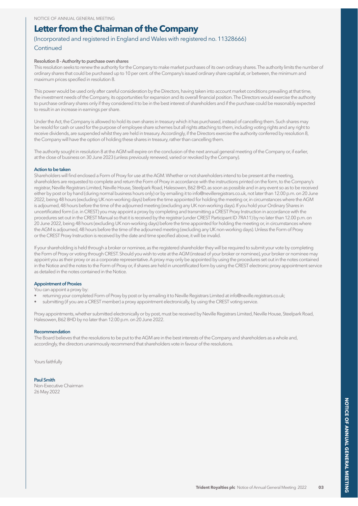## **Letter from the Chairman of the Company**

## (Incorporated and registered in England and Wales with registered no. 11328666) **Continued**

#### **Resolution 8 - Authority to purchase own shares**

This resolution seeks to renew the authority for the Company to make market purchases of its own ordinary shares. The authority limits the number of ordinary shares that could be purchased up to 10 per cent. of the Company's issued ordinary share capital at, or between, the minimum and maximum prices specified in resolution 8.

This power would be used only after careful consideration by the Directors, having taken into account market conditions prevailing at that time, the investment needs of the Company, its opportunities for expansion and its overall financial position. The Directors would exercise the authority to purchase ordinary shares only if they considered it to be in the best interest of shareholders and if the purchase could be reasonably expected to result in an increase in earnings per share.

Under the Act, the Company is allowed to hold its own shares in treasury which it has purchased, instead of cancelling them. Such shares may be resold for cash or used for the purpose of employee share schemes but all rights attaching to them, including voting rights and any right to receive dividends, are suspended whilst they are held in treasury. Accordingly, if the Directors exercise the authority conferred by resolution 8, the Company will have the option of holding these shares in treasury, rather than cancelling them.

The authority sought in resolution 8 at the AGM will expire on the conclusion of the next annual general meeting of the Company or, if earlier, at the close of business on 30 June 2023 (unless previously renewed, varied or revoked by the Company).

#### **Action to be taken**

Shareholders will find enclosed a Form of Proxy for use at the AGM. Whether or not shareholders intend to be present at the meeting, shareholders are requested to complete and return the Form of Proxy in accordance with the instructions printed on the form, to the Company's registrar, Neville Registrars Limited, Neville House, Steelpark Road, Halesowen, B62 8HD, as soon as possible and in any event so as to be received either by post or by hand (during normal business hours only) or by emailing it to info@nevilleregistrars.co.uk, not later than 12.00 p.m. on 20 June 2022, being 48 hours (excluding UK non-working days) before the time appointed for holding the meeting or, in circumstances where the AGM is adjourned, 48 hours before the time of the adjourned meeting (excluding any UK non-working days). If you hold your Ordinary Shares in uncertificated form (i.e. in CREST) you may appoint a proxy by completing and transmitting a CREST Proxy Instruction in accordance with the procedures set out in the CREST Manual so that it is received by the registrar (under CREST Participant ID 7RA11) by no later than 12.00 p.m. on 20 June 2022, being 48 hours (excluding UK non-working days) before the time appointed for holding the meeting or, in circumstances where the AGM is adjourned, 48 hours before the time of the adjourned meeting (excluding any UK non-working days). Unless the Form of Proxy or the CREST Proxy Instruction is received by the date and time specified above, it will be invalid.

If your shareholding is held through a broker or nominee, as the registered shareholder they will be required to submit your vote by completing the Form of Proxy or voting through CREST. Should you wish to vote at the AGM (instead of your broker or nominee), your broker or nominee may appoint you as their proxy or as a corporate representative. A proxy may only be appointed by using the procedures set out in the notes contained in the Notice and the notes to the Form of Proxy or, if shares are held in uncertificated form by using the CREST electronic proxy appointment service as detailed in the notes contained in the Notice.

#### **Appointment of Proxies**

You can appoint a proxy by:

- returning your completed Form of Proxy by post or by emailing it to Neville Registrars Limited at info@neville.registrars.co.uk;
- submitting (if you are a CREST member) a proxy appointment electronically, by using the CREST voting service.

Proxy appointments, whether submitted electronically or by post, must be received by Neville Registrars Limited, Neville House, Steelpark Road, Halesowen, B62 8HD by no later than 12.00 p.m. on 20 June 2022.

#### **Recommendation**

The Board believes that the resolutions to be put to the AGM are in the best interests of the Company and shareholders as a whole and, accordingly, the directors unanimously recommend that shareholders vote in favour of the resolutions.

Yours faithfully

#### **Paul Smith**

Non-Executive Chairman 26 May 2022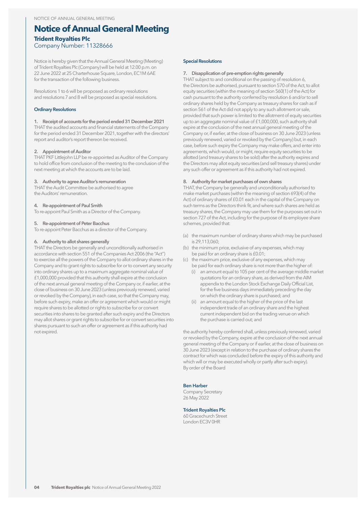## **Notice of Annual General Meeting Trident Royalties Plc** Company Number: 11328666

Notice is hereby given that the Annual General Meeting (Meeting) of Trident Royalties Plc (Company) will be held at 12.00 p.m. on 22 June 2022 at 25 Charterhouse Square, London, EC1M 6AE for the transaction of the following business.

Resolutions 1 to 6 will be proposed as ordinary resolutions and resolutions 7 and 8 will be proposed as special resolutions.

#### **Ordinary Resolutions**

### **1. Receipt of accounts for the period ended 31 December 2021**

THAT the audited accounts and financial statements of the Company for the period ended 31 December 2021, together with the directors' report and auditor's report thereon be received.

#### **2. Appointment of Auditor**

THAT PKF Littlejohn LLP be re-appointed as Auditor of the Company to hold office from conclusion of the meeting to the conclusion of the next meeting at which the accounts are to be laid.

#### **3. Authority to agree Auditor's remuneration**

THAT the Audit Committee be authorised to agree the Auditors' remuneration.

#### **4. Re-appointment of Paul Smith**

To re-appoint Paul Smith as a Director of the Company.

#### **5. Re-appointment of Peter Bacchus**

To re-appoint Peter Bacchus as a director of the Company.

## **6. Authority to allot shares generally**

THAT the Directors be generally and unconditionally authorised in accordance with section 551 of the Companies Act 2006 (the "Act") to exercise all the powers of the Company to allot ordinary shares in the Company and to grant rights to subscribe for or to convert any security into ordinary shares up to a maximum aggregate nominal value of £1,000,000 provided that this authority shall expire at the conclusion of the next annual general meeting of the Company or, if earlier, at the close of business on 30 June 2023 (unless previously renewed, varied or revoked by the Company), in each case, so that the Company may, before such expiry, make an offer or agreement which would or might require shares to be allotted or rights to subscribe for or convert securities into shares to be granted after such expiry and the Directors may allot shares or grant rights to subscribe for or convert securities into shares pursuant to such an offer or agreement as if this authority had not expired.

#### **Special Resolutions**

#### **7. Disapplication of pre-emption rights generally**

THAT subject to and conditional on the passing of resolution 6, the Directors be authorised, pursuant to section 570 of the Act, to allot equity securities (within the meaning of section 560(1) of the Act) for cash pursuant to the authority conferred by resolution 6 and/or to sell ordinary shares held by the Company as treasury shares for cash as if section 561 of the Act did not apply to any such allotment or sale, provided that such power is limited to the allotment of equity securities up to an aggregate nominal value of £1,000,000, such authority shall expire at the conclusion of the next annual general meeting of the Company or, if earlier, at the close of business on 30 June 2023 (unless previously renewed, varied or revoked by the Company) but, in each case, before such expiry the Company may make offers, and enter into agreements, which would, or might, require equity securities to be allotted (and treasury shares to be sold) after the authority expires and the Directors may allot equity securities (and sell treasury shares) under any such offer or agreement as if this authority had not expired.

#### **8. Authority for market purchases of own shares**

THAT, the Company be generally and unconditionally authorised to make market purchases (within the meaning of section 693(4) of the Act) of ordinary shares of £0.01 each in the capital of the Company on such terms as the Directors think fit, and where such shares are held as treasury shares, the Company may use them for the purposes set out in section 727 of the Act, including for the purpose of its employee share schemes, provided that:

- (a) the maximum number of ordinary shares which may be purchased is 29,113,060;
- (b) the minimum price, exclusive of any expenses, which may be paid for an ordinary share is £0.01;
- (c) the maximum price, exclusive of any expenses, which may be paid for each ordinary share is not more than the higher of:
	- (i) an amount equal to 105 per cent of the average middle market quotations for an ordinary share, as derived from the AIM appendix to the London Stock Exchange Daily Official List, for the five business days immediately preceding the day on which the ordinary share is purchased; and
	- (ii) an amount equal to the higher of the price of the last independent trade of an ordinary share and the highest current independent bid on the trading venue on which the purchase is carried out; and

the authority hereby conferred shall, unless previously renewed, varied or revoked by the Company, expire at the conclusion of the next annual general meeting of the Company or if earlier, at the close of business on 30 June 2023 (except in relation to the purchase of ordinary shares the contract for which was concluded before the expiry of this authority and which will or may be executed wholly or partly after such expiry). By order of the Board

#### **Ben Harber**

Company Secretary 26 May 2022

#### **Trident Royalties Plc**

60 Gracechurch Street London EC3V 0HR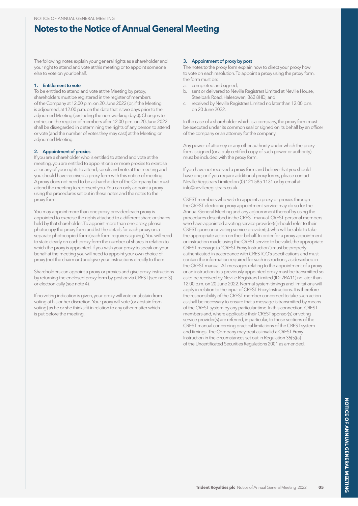# **Notes to the Notice of Annual General Meeting**

The following notes explain your general rights as a shareholder and your right to attend and vote at this meeting or to appoint someone else to vote on your behalf.

#### **1. Entitlement to vote**

To be entitled to attend and vote at the Meeting by proxy, shareholders must be registered in the register of members of the Company at 12.00 p.m. on 20 June 2022 (or, if the Meeting is adjourned, at 12.00 p.m. on the date that is two days prior to the adjourned Meeting (excluding the non-working days)). Changes to entries on the register of members after 12.00 p.m. on 20 June 2022 shall be disregarded in determining the rights of any person to attend or vote (and the number of votes they may cast) at the Meeting or adjourned Meeting.

#### **2. Appointment of proxies**

If you are a shareholder who is entitled to attend and vote at the meeting, you are entitled to appoint one or more proxies to exercise all or any of your rights to attend, speak and vote at the meeting and you should have received a proxy form with this notice of meeting. A proxy does not need to be a shareholder of the Company but must attend the meeting to represent you. You can only appoint a proxy using the procedures set out in these notes and the notes to the proxy form.

You may appoint more than one proxy provided each proxy is appointed to exercise the rights attached to a different share or shares held by that shareholder. To appoint more than one proxy, please photocopy the proxy form and list the details for each proxy on a separate photocopied form (each form requires signing). You will need to state clearly on each proxy form the number of shares in relation to which the proxy is appointed. If you wish your proxy to speak on your behalf at the meeting you will need to appoint your own choice of proxy (not the chairman) and give your instructions directly to them.

Shareholders can appoint a proxy or proxies and give proxy instructions by returning the enclosed proxy form by post or via CREST (see note 3) or electronically (see note 4).

If no voting indication is given, your proxy will vote or abstain from voting at his or her discretion. Your proxy will vote (or abstain from voting) as he or she thinks fit in relation to any other matter which is put before the meeting.

#### **3. Appointment of proxy by post**

The notes to the proxy form explain how to direct your proxy how to vote on each resolution. To appoint a proxy using the proxy form, the form must be:

- a. completed and signed;
- b. sent or delivered to Neville Registrars Limited at Neville House, Steelpark Road, Halesowen, B62 8HD; and
- c. received by Neville Registrars Limited no later than 12.00 p.m. on 20 June 2022.

In the case of a shareholder which is a company, the proxy form must be executed under its common seal or signed on its behalf by an officer of the company or an attorney for the company.

Any power of attorney or any other authority under which the proxy form is signed (or a duly certified copy of such power or authority) must be included with the proxy form.

If you have not received a proxy form and believe that you should have one, or if you require additional proxy forms, please contact Neville Registrars Limited on (0) 121 585 1131 or by email at info@nevilleregi strars.co.uk.

CREST members who wish to appoint a proxy or proxies through the CREST electronic proxy appointment service may do so for the Annual General Meeting and any adjournment thereof by using the procedures described in the CREST manual. CREST personal members who have appointed a voting service provider(s) should refer to their CREST sponsor or voting service provider(s), who will be able to take the appropriate action on their behalf. In order for a proxy appointment or instruction made using the CREST service to be valid, the appropriate CREST message (a "CREST Proxy Instruction") must be properly authenticated in accordance with CRESTCO's specifications and must contain the information required for such instructions, as described in the CREST manual. All messages relating to the appointment of a proxy or an instruction to a previously appointed proxy must be transmitted so as to be received by Neville Registrars Limited (ID: 7RA11) no later than 12.00 p.m. on 20 June 2022. Normal system timings and limitations will apply in relation to the input of CREST Proxy Instructions. It is therefore the responsibility of the CREST member concerned to take such action as shall be necessary to ensure that a message is transmitted by means of the CREST system by any particular time. In this connection, CREST members and, where applicable their CREST sponsor(s) or voting service provider(s) are referred, in particular, to those sections of the CREST manual concerning practical limitations of the CREST system and timings. The Company may treat as invalid a CREST Proxy Instruction in the circumstances set out in Regulation 35(5)(a) of the Uncertificated Securities Regulations 2001 as amended.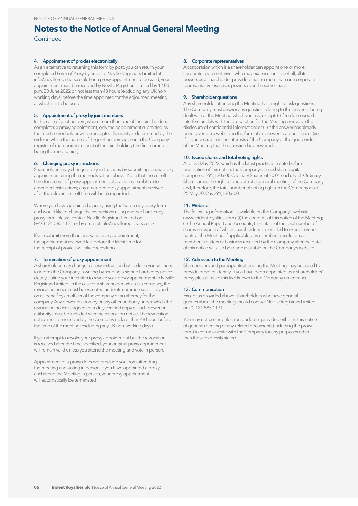## **Notes to the Notice of Annual General Meeting**

**Continued** 

#### **4. Appointment of proxies electronically**

As an alternative to returning this form by post, you can return your completed Form of Proxy by email to Neville Registrars Limited at info@nevilleregistrars.co.uk. For a proxy appointment to be valid, your appointment must be received by Neville Registrars Limited by 12.00 p.m. 20 June 2022 or, not less than 48 hours (excluding any UK nonworking days) before the time appointed for the adjourned meeting at which it is to be used.

#### **5. Appointment of proxy by joint members**

In the case of joint holders, where more than one of the joint holders completes a proxy appointment, only the appointment submitted by the most senior holder will be accepted. Seniority is determined by the order in which the names of the joint holders appear in the Company's register of members in respect of the joint holding (the first-named being the most senior).

#### **6. Changing proxy instructions**

Shareholders may change proxy instructions by submitting a new proxy appointment using the methods set out above. Note that the cut-off time for receipt of proxy appointments also applies in relation to amended instructions; any amended proxy appointment received after the relevant cut-off time will be disregarded.

Where you have appointed a proxy using the hard-copy proxy form and would like to change the instructions using another hard-copy proxy form, please contact Neville Registrars Limited on (+44) 121 585 1131 or by email at info@nevilleregistrars.co.uk.

If you submit more than one valid proxy appointment, the appointment received last before the latest time for the receipt of proxies will take precedence.

#### **7. Termination of proxy appointment**

A shareholder may change a proxy instruction but to do so you will need to inform the Company in writing by sending a signed hard-copy notice clearly stating your intention to revoke your proxy appointment to Neville Registrars Limited. In the case of a shareholder which is a company, the revocation notice must be executed under its common seal or signed on its behalf by an officer of the company or an attorney for the company. Any power of attorney or any other authority under which the revocation notice is signed (or a duly certified copy of such power or authority) must be included with the revocation notice. The revocation notice must be received by the Company no later than 48 hours before the time of the meeting (excluding any UK non-working days).

If you attempt to revoke your proxy appointment but the revocation is received after the time specified, your original proxy appointment will remain valid unless you attend the meeting and vote in person.

Appointment of a proxy does not preclude you from attending the meeting and voting in person. If you have appointed a proxy and attend the Meeting in person, your proxy appointment will automatically be terminated.

#### **8. Corporate representatives**

A corporation which is a shareholder can appoint one or more corporate representatives who may exercise, on its behalf, all its powers as a shareholder provided that no more than one corporate representative exercises powers over the same share.

#### **9. Shareholder questions**

Any shareholder attending the Meeting has a right to ask questions. The Company must answer any question relating to the business being dealt with at the Meeting which you ask, except: (i) if to do so would interfere unduly with the preparation for the Meeting or involve the disclosure of confidential information; or (ii) if the answer has already been given on a website in the form of an answer to a question; or (iii) if it is undesirable in the interests of the Company or the good order of the Meeting that the question be answered.

#### **10. Issued shares and total voting rights**

As at 25 May 2022, which is the latest practicable date before publication of this notice, the Company's issued share capital comprised 291,130,600 Ordinary Shares of £0.01 each. Each Ordinary Share carries the right to one vote at a general meeting of the Company and, therefore, the total number of voting rights in the Company as at 25 May 2022 is 291,130,600.

#### **11. Website**

The following information is available on the Company's website (www.tridentroyalties.com): (i) the contents of this notice of the Meeting; (ii) the Annual Report and Accounts; (iii) details of the total number of shares in respect of which shareholders are entitled to exercise voting rights at the Meeting. If applicable, any members' resolutions or members' matters of business received by the Company after the date of this notice will also be made available on the Company's website.

#### **12. Admission to the Meeting**

Shareholders and participants attending the Meeting may be asked to provide proof of identity. If you have been appointed as a shareholders' proxy please make this fact known to the Company on entrance.

#### **13. Communication**

Except as provided above, shareholders who have general queries about the meeting should contact Neville Registrars Limited on (0) 121 585 1131.

You may not use any electronic address provided either in this notice of general meeting or any related documents (including the proxy form) to communicate with the Company for any purposes other than those expressly stated.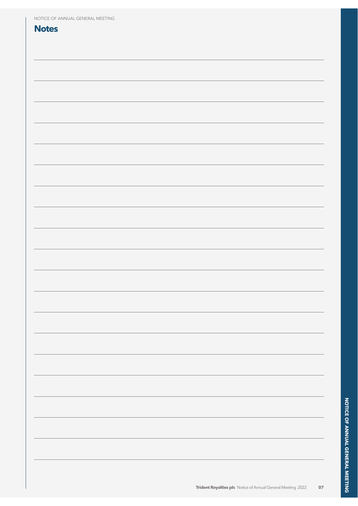| NOTICE OF ANNUAL GENERAL MEETING |  |
|----------------------------------|--|
| <b>Notes</b>                     |  |
|                                  |  |
|                                  |  |
|                                  |  |
|                                  |  |
|                                  |  |
|                                  |  |
|                                  |  |
|                                  |  |
|                                  |  |
|                                  |  |
|                                  |  |
|                                  |  |
|                                  |  |
|                                  |  |
|                                  |  |
|                                  |  |
|                                  |  |
|                                  |  |
|                                  |  |
|                                  |  |
|                                  |  |
|                                  |  |
|                                  |  |
|                                  |  |
|                                  |  |
|                                  |  |
|                                  |  |
|                                  |  |
|                                  |  |
|                                  |  |
|                                  |  |
|                                  |  |
|                                  |  |
|                                  |  |
|                                  |  |
|                                  |  |
|                                  |  |
|                                  |  |
|                                  |  |
|                                  |  |
|                                  |  |
|                                  |  |
|                                  |  |
|                                  |  |
|                                  |  |
|                                  |  |
|                                  |  |
|                                  |  |
|                                  |  |
|                                  |  |
|                                  |  |